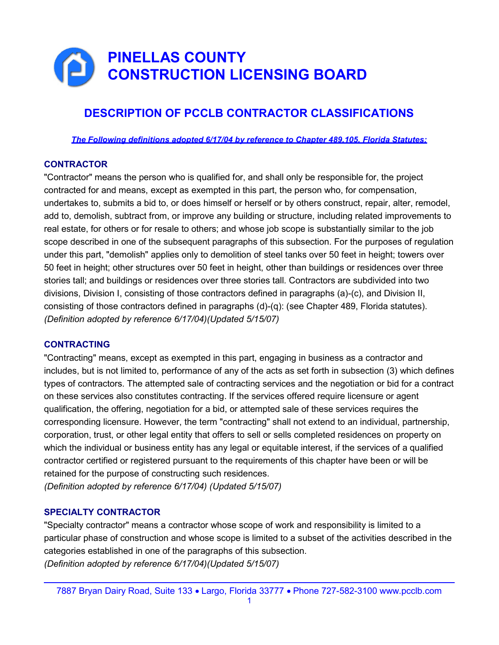# PINELLAS COUNTY CONSTRUCTION LICENSING BOARD

## DESCRIPTION OF PCCLB CONTRACTOR CLASSIFICATIONS

The Following definitions adopted 6/17/04 by reference to Chapter 489.105, Florida Statutes:

### **CONTRACTOR**

"Contractor" means the person who is qualified for, and shall only be responsible for, the project contracted for and means, except as exempted in this part, the person who, for compensation, undertakes to, submits a bid to, or does himself or herself or by others construct, repair, alter, remodel, add to, demolish, subtract from, or improve any building or structure, including related improvements to real estate, for others or for resale to others; and whose job scope is substantially similar to the job scope described in one of the subsequent paragraphs of this subsection. For the purposes of regulation under this part, "demolish" applies only to demolition of steel tanks over 50 feet in height; towers over 50 feet in height; other structures over 50 feet in height, other than buildings or residences over three stories tall; and buildings or residences over three stories tall. Contractors are subdivided into two divisions, Division I, consisting of those contractors defined in paragraphs (a)-(c), and Division II, consisting of those contractors defined in paragraphs (d)-(q): (see Chapter 489, Florida statutes). (Definition adopted by reference 6/17/04)(Updated 5/15/07)

#### **CONTRACTING**

"Contracting" means, except as exempted in this part, engaging in business as a contractor and includes, but is not limited to, performance of any of the acts as set forth in subsection (3) which defines types of contractors. The attempted sale of contracting services and the negotiation or bid for a contract on these services also constitutes contracting. If the services offered require licensure or agent qualification, the offering, negotiation for a bid, or attempted sale of these services requires the corresponding licensure. However, the term "contracting" shall not extend to an individual, partnership, corporation, trust, or other legal entity that offers to sell or sells completed residences on property on which the individual or business entity has any legal or equitable interest, if the services of a qualified contractor certified or registered pursuant to the requirements of this chapter have been or will be retained for the purpose of constructing such residences.

(Definition adopted by reference 6/17/04) (Updated 5/15/07)

#### SPECIALTY CONTRACTOR

"Specialty contractor" means a contractor whose scope of work and responsibility is limited to a particular phase of construction and whose scope is limited to a subset of the activities described in the categories established in one of the paragraphs of this subsection. (Definition adopted by reference 6/17/04)(Updated 5/15/07)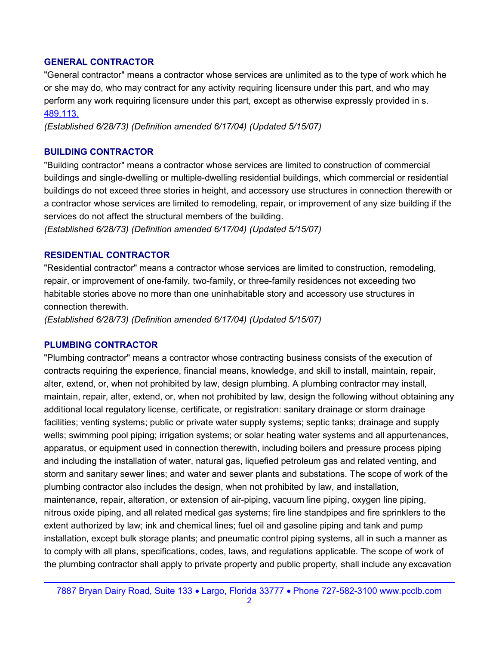#### GENERAL CONTRACTOR

"General contractor" means a contractor whose services are unlimited as to the type of work which he or she may do, who may contract for any activity requiring licensure under this part, and who may perform any work requiring licensure under this part, except as otherwise expressly provided in s. 489.113.

(Established 6/28/73) (Definition amended 6/17/04) (Updated 5/15/07)

#### BUILDING CONTRACTOR

"Building contractor" means a contractor whose services are limited to construction of commercial buildings and single-dwelling or multiple-dwelling residential buildings, which commercial or residential buildings do not exceed three stories in height, and accessory use structures in connection therewith or a contractor whose services are limited to remodeling, repair, or improvement of any size building if the services do not affect the structural members of the building.

(Established 6/28/73) (Definition amended 6/17/04) (Updated 5/15/07)

### RESIDENTIAL CONTRACTOR

"Residential contractor" means a contractor whose services are limited to construction, remodeling, repair, or improvement of one-family, two-family, or three-family residences not exceeding two habitable stories above no more than one uninhabitable story and accessory use structures in connection therewith.

(Established 6/28/73) (Definition amended 6/17/04) (Updated 5/15/07)

#### PLUMBING CONTRACTOR

"Plumbing contractor" means a contractor whose contracting business consists of the execution of contracts requiring the experience, financial means, knowledge, and skill to install, maintain, repair, alter, extend, or, when not prohibited by law, design plumbing. A plumbing contractor may install, maintain, repair, alter, extend, or, when not prohibited by law, design the following without obtaining any additional local regulatory license, certificate, or registration: sanitary drainage or storm drainage facilities; venting systems; public or private water supply systems; septic tanks; drainage and supply wells; swimming pool piping; irrigation systems; or solar heating water systems and all appurtenances, apparatus, or equipment used in connection therewith, including boilers and pressure process piping and including the installation of water, natural gas, liquefied petroleum gas and related venting, and storm and sanitary sewer lines; and water and sewer plants and substations. The scope of work of the plumbing contractor also includes the design, when not prohibited by law, and installation, maintenance, repair, alteration, or extension of air-piping, vacuum line piping, oxygen line piping, nitrous oxide piping, and all related medical gas systems; fire line standpipes and fire sprinklers to the extent authorized by law; ink and chemical lines; fuel oil and gasoline piping and tank and pump installation, except bulk storage plants; and pneumatic control piping systems, all in such a manner as to comply with all plans, specifications, codes, laws, and regulations applicable. The scope of work of the plumbing contractor shall apply to private property and public property, shall include any excavation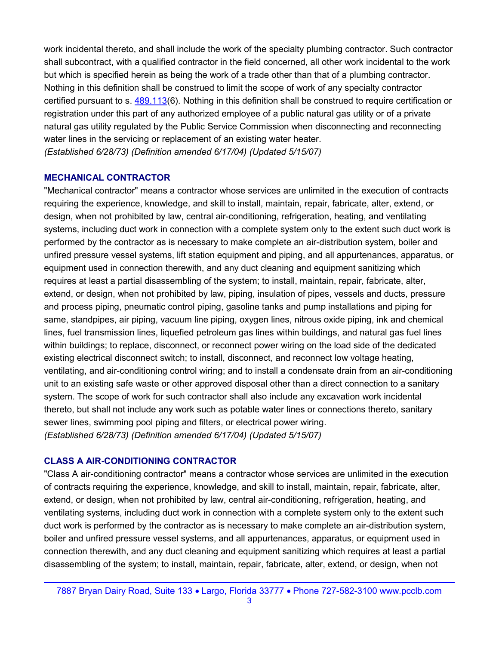work incidental thereto, and shall include the work of the specialty plumbing contractor. Such contractor shall subcontract, with a qualified contractor in the field concerned, all other work incidental to the work but which is specified herein as being the work of a trade other than that of a plumbing contractor. Nothing in this definition shall be construed to limit the scope of work of any specialty contractor certified pursuant to s. 489.113(6). Nothing in this definition shall be construed to require certification or registration under this part of any authorized employee of a public natural gas utility or of a private natural gas utility regulated by the Public Service Commission when disconnecting and reconnecting water lines in the servicing or replacement of an existing water heater. (Established 6/28/73) (Definition amended 6/17/04) (Updated 5/15/07)

#### MECHANICAL CONTRACTOR

"Mechanical contractor" means a contractor whose services are unlimited in the execution of contracts requiring the experience, knowledge, and skill to install, maintain, repair, fabricate, alter, extend, or design, when not prohibited by law, central air-conditioning, refrigeration, heating, and ventilating systems, including duct work in connection with a complete system only to the extent such duct work is performed by the contractor as is necessary to make complete an air-distribution system, boiler and unfired pressure vessel systems, lift station equipment and piping, and all appurtenances, apparatus, or equipment used in connection therewith, and any duct cleaning and equipment sanitizing which requires at least a partial disassembling of the system; to install, maintain, repair, fabricate, alter, extend, or design, when not prohibited by law, piping, insulation of pipes, vessels and ducts, pressure and process piping, pneumatic control piping, gasoline tanks and pump installations and piping for same, standpipes, air piping, vacuum line piping, oxygen lines, nitrous oxide piping, ink and chemical lines, fuel transmission lines, liquefied petroleum gas lines within buildings, and natural gas fuel lines within buildings; to replace, disconnect, or reconnect power wiring on the load side of the dedicated existing electrical disconnect switch; to install, disconnect, and reconnect low voltage heating, ventilating, and air-conditioning control wiring; and to install a condensate drain from an air-conditioning unit to an existing safe waste or other approved disposal other than a direct connection to a sanitary system. The scope of work for such contractor shall also include any excavation work incidental thereto, but shall not include any work such as potable water lines or connections thereto, sanitary sewer lines, swimming pool piping and filters, or electrical power wiring. (Established 6/28/73) (Definition amended 6/17/04) (Updated 5/15/07)

### CLASS A AIR-CONDITIONING CONTRACTOR

"Class A air-conditioning contractor" means a contractor whose services are unlimited in the execution of contracts requiring the experience, knowledge, and skill to install, maintain, repair, fabricate, alter, extend, or design, when not prohibited by law, central air-conditioning, refrigeration, heating, and ventilating systems, including duct work in connection with a complete system only to the extent such duct work is performed by the contractor as is necessary to make complete an air-distribution system, boiler and unfired pressure vessel systems, and all appurtenances, apparatus, or equipment used in connection therewith, and any duct cleaning and equipment sanitizing which requires at least a partial disassembling of the system; to install, maintain, repair, fabricate, alter, extend, or design, when not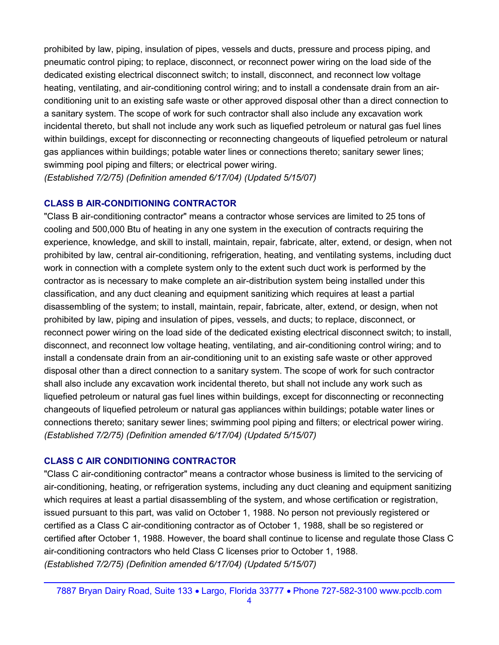prohibited by law, piping, insulation of pipes, vessels and ducts, pressure and process piping, and pneumatic control piping; to replace, disconnect, or reconnect power wiring on the load side of the dedicated existing electrical disconnect switch; to install, disconnect, and reconnect low voltage heating, ventilating, and air-conditioning control wiring; and to install a condensate drain from an airconditioning unit to an existing safe waste or other approved disposal other than a direct connection to a sanitary system. The scope of work for such contractor shall also include any excavation work incidental thereto, but shall not include any work such as liquefied petroleum or natural gas fuel lines within buildings, except for disconnecting or reconnecting changeouts of liquefied petroleum or natural gas appliances within buildings; potable water lines or connections thereto; sanitary sewer lines; swimming pool piping and filters; or electrical power wiring.

(Established 7/2/75) (Definition amended 6/17/04) (Updated 5/15/07)

### CLASS B AIR-CONDITIONING CONTRACTOR

"Class B air-conditioning contractor" means a contractor whose services are limited to 25 tons of cooling and 500,000 Btu of heating in any one system in the execution of contracts requiring the experience, knowledge, and skill to install, maintain, repair, fabricate, alter, extend, or design, when not prohibited by law, central air-conditioning, refrigeration, heating, and ventilating systems, including duct work in connection with a complete system only to the extent such duct work is performed by the contractor as is necessary to make complete an air-distribution system being installed under this classification, and any duct cleaning and equipment sanitizing which requires at least a partial disassembling of the system; to install, maintain, repair, fabricate, alter, extend, or design, when not prohibited by law, piping and insulation of pipes, vessels, and ducts; to replace, disconnect, or reconnect power wiring on the load side of the dedicated existing electrical disconnect switch; to install, disconnect, and reconnect low voltage heating, ventilating, and air-conditioning control wiring; and to install a condensate drain from an air-conditioning unit to an existing safe waste or other approved disposal other than a direct connection to a sanitary system. The scope of work for such contractor shall also include any excavation work incidental thereto, but shall not include any work such as liquefied petroleum or natural gas fuel lines within buildings, except for disconnecting or reconnecting changeouts of liquefied petroleum or natural gas appliances within buildings; potable water lines or connections thereto; sanitary sewer lines; swimming pool piping and filters; or electrical power wiring. (Established 7/2/75) (Definition amended 6/17/04) (Updated 5/15/07)

### CLASS C AIR CONDITIONING CONTRACTOR

"Class C air-conditioning contractor" means a contractor whose business is limited to the servicing of air-conditioning, heating, or refrigeration systems, including any duct cleaning and equipment sanitizing which requires at least a partial disassembling of the system, and whose certification or registration, issued pursuant to this part, was valid on October 1, 1988. No person not previously registered or certified as a Class C air-conditioning contractor as of October 1, 1988, shall be so registered or certified after October 1, 1988. However, the board shall continue to license and regulate those Class C air-conditioning contractors who held Class C licenses prior to October 1, 1988. (Established 7/2/75) (Definition amended 6/17/04) (Updated 5/15/07)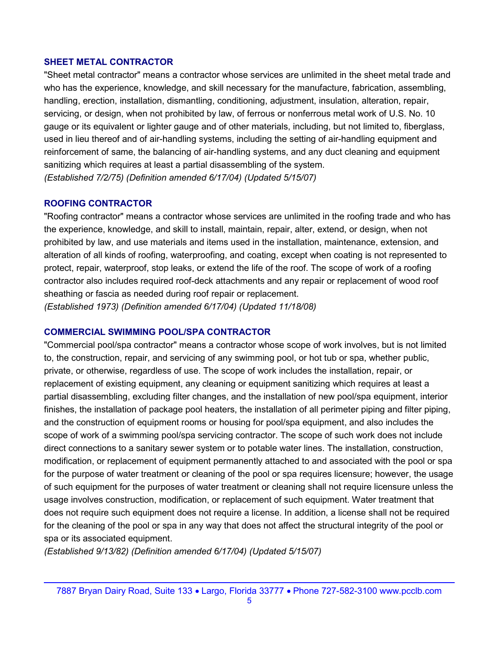#### SHEET METAL CONTRACTOR

"Sheet metal contractor" means a contractor whose services are unlimited in the sheet metal trade and who has the experience, knowledge, and skill necessary for the manufacture, fabrication, assembling, handling, erection, installation, dismantling, conditioning, adjustment, insulation, alteration, repair, servicing, or design, when not prohibited by law, of ferrous or nonferrous metal work of U.S. No. 10 gauge or its equivalent or lighter gauge and of other materials, including, but not limited to, fiberglass, used in lieu thereof and of air-handling systems, including the setting of air-handling equipment and reinforcement of same, the balancing of air-handling systems, and any duct cleaning and equipment sanitizing which requires at least a partial disassembling of the system. (Established 7/2/75) (Definition amended 6/17/04) (Updated 5/15/07)

#### ROOFING CONTRACTOR

"Roofing contractor" means a contractor whose services are unlimited in the roofing trade and who has the experience, knowledge, and skill to install, maintain, repair, alter, extend, or design, when not prohibited by law, and use materials and items used in the installation, maintenance, extension, and alteration of all kinds of roofing, waterproofing, and coating, except when coating is not represented to protect, repair, waterproof, stop leaks, or extend the life of the roof. The scope of work of a roofing contractor also includes required roof-deck attachments and any repair or replacement of wood roof sheathing or fascia as needed during roof repair or replacement. (Established 1973) (Definition amended 6/17/04) (Updated 11/18/08)

#### COMMERCIAL SWIMMING POOL/SPA CONTRACTOR

"Commercial pool/spa contractor" means a contractor whose scope of work involves, but is not limited to, the construction, repair, and servicing of any swimming pool, or hot tub or spa, whether public, private, or otherwise, regardless of use. The scope of work includes the installation, repair, or replacement of existing equipment, any cleaning or equipment sanitizing which requires at least a partial disassembling, excluding filter changes, and the installation of new pool/spa equipment, interior finishes, the installation of package pool heaters, the installation of all perimeter piping and filter piping, and the construction of equipment rooms or housing for pool/spa equipment, and also includes the scope of work of a swimming pool/spa servicing contractor. The scope of such work does not include direct connections to a sanitary sewer system or to potable water lines. The installation, construction, modification, or replacement of equipment permanently attached to and associated with the pool or spa for the purpose of water treatment or cleaning of the pool or spa requires licensure; however, the usage of such equipment for the purposes of water treatment or cleaning shall not require licensure unless the usage involves construction, modification, or replacement of such equipment. Water treatment that does not require such equipment does not require a license. In addition, a license shall not be required for the cleaning of the pool or spa in any way that does not affect the structural integrity of the pool or spa or its associated equipment.

(Established 9/13/82) (Definition amended 6/17/04) (Updated 5/15/07)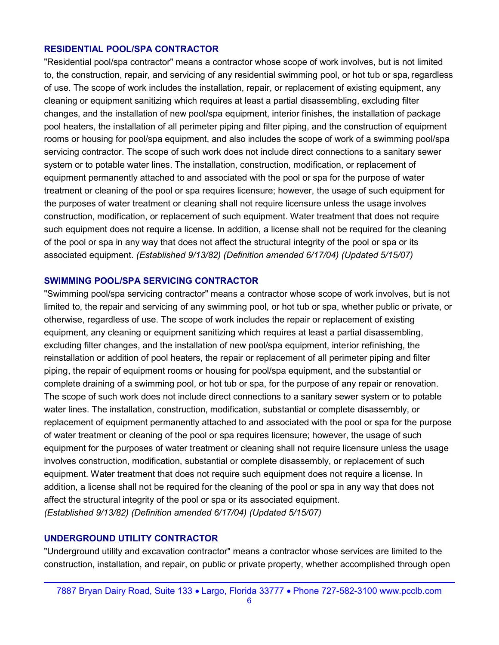#### RESIDENTIAL POOL/SPA CONTRACTOR

"Residential pool/spa contractor" means a contractor whose scope of work involves, but is not limited to, the construction, repair, and servicing of any residential swimming pool, or hot tub or spa, regardless of use. The scope of work includes the installation, repair, or replacement of existing equipment, any cleaning or equipment sanitizing which requires at least a partial disassembling, excluding filter changes, and the installation of new pool/spa equipment, interior finishes, the installation of package pool heaters, the installation of all perimeter piping and filter piping, and the construction of equipment rooms or housing for pool/spa equipment, and also includes the scope of work of a swimming pool/spa servicing contractor. The scope of such work does not include direct connections to a sanitary sewer system or to potable water lines. The installation, construction, modification, or replacement of equipment permanently attached to and associated with the pool or spa for the purpose of water treatment or cleaning of the pool or spa requires licensure; however, the usage of such equipment for the purposes of water treatment or cleaning shall not require licensure unless the usage involves construction, modification, or replacement of such equipment. Water treatment that does not require such equipment does not require a license. In addition, a license shall not be required for the cleaning of the pool or spa in any way that does not affect the structural integrity of the pool or spa or its associated equipment. (Established 9/13/82) (Definition amended 6/17/04) (Updated 5/15/07)

#### SWIMMING POOL/SPA SERVICING CONTRACTOR

"Swimming pool/spa servicing contractor" means a contractor whose scope of work involves, but is not limited to, the repair and servicing of any swimming pool, or hot tub or spa, whether public or private, or otherwise, regardless of use. The scope of work includes the repair or replacement of existing equipment, any cleaning or equipment sanitizing which requires at least a partial disassembling, excluding filter changes, and the installation of new pool/spa equipment, interior refinishing, the reinstallation or addition of pool heaters, the repair or replacement of all perimeter piping and filter piping, the repair of equipment rooms or housing for pool/spa equipment, and the substantial or complete draining of a swimming pool, or hot tub or spa, for the purpose of any repair or renovation. The scope of such work does not include direct connections to a sanitary sewer system or to potable water lines. The installation, construction, modification, substantial or complete disassembly, or replacement of equipment permanently attached to and associated with the pool or spa for the purpose of water treatment or cleaning of the pool or spa requires licensure; however, the usage of such equipment for the purposes of water treatment or cleaning shall not require licensure unless the usage involves construction, modification, substantial or complete disassembly, or replacement of such equipment. Water treatment that does not require such equipment does not require a license. In addition, a license shall not be required for the cleaning of the pool or spa in any way that does not affect the structural integrity of the pool or spa or its associated equipment. (Established 9/13/82) (Definition amended 6/17/04) (Updated 5/15/07)

### UNDERGROUND UTILITY CONTRACTOR

"Underground utility and excavation contractor" means a contractor whose services are limited to the construction, installation, and repair, on public or private property, whether accomplished through open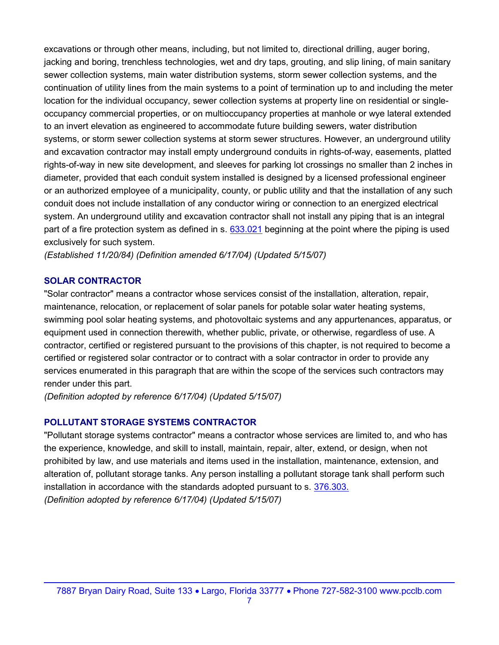excavations or through other means, including, but not limited to, directional drilling, auger boring, jacking and boring, trenchless technologies, wet and dry taps, grouting, and slip lining, of main sanitary sewer collection systems, main water distribution systems, storm sewer collection systems, and the continuation of utility lines from the main systems to a point of termination up to and including the meter location for the individual occupancy, sewer collection systems at property line on residential or singleoccupancy commercial properties, or on multioccupancy properties at manhole or wye lateral extended to an invert elevation as engineered to accommodate future building sewers, water distribution systems, or storm sewer collection systems at storm sewer structures. However, an underground utility and excavation contractor may install empty underground conduits in rights-of-way, easements, platted rights-of-way in new site development, and sleeves for parking lot crossings no smaller than 2 inches in diameter, provided that each conduit system installed is designed by a licensed professional engineer or an authorized employee of a municipality, county, or public utility and that the installation of any such conduit does not include installation of any conductor wiring or connection to an energized electrical system. An underground utility and excavation contractor shall not install any piping that is an integral part of a fire protection system as defined in s. 633.021 beginning at the point where the piping is used exclusively for such system.

(Established 11/20/84) (Definition amended 6/17/04) (Updated 5/15/07)

#### SOLAR CONTRACTOR

"Solar contractor" means a contractor whose services consist of the installation, alteration, repair, maintenance, relocation, or replacement of solar panels for potable solar water heating systems, swimming pool solar heating systems, and photovoltaic systems and any appurtenances, apparatus, or equipment used in connection therewith, whether public, private, or otherwise, regardless of use. A contractor, certified or registered pursuant to the provisions of this chapter, is not required to become a certified or registered solar contractor or to contract with a solar contractor in order to provide any services enumerated in this paragraph that are within the scope of the services such contractors may render under this part.

(Definition adopted by reference 6/17/04) (Updated 5/15/07)

#### POLLUTANT STORAGE SYSTEMS CONTRACTOR

"Pollutant storage systems contractor" means a contractor whose services are limited to, and who has the experience, knowledge, and skill to install, maintain, repair, alter, extend, or design, when not prohibited by law, and use materials and items used in the installation, maintenance, extension, and alteration of, pollutant storage tanks. Any person installing a pollutant storage tank shall perform such installation in accordance with the standards adopted pursuant to s. 376.303. (Definition adopted by reference 6/17/04) (Updated 5/15/07)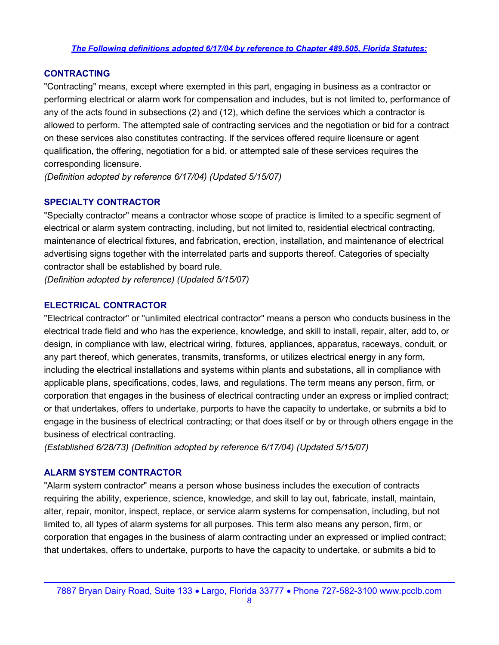#### The Following definitions adopted 6/17/04 by reference to Chapter 489.505, Florida Statutes:

#### **CONTRACTING**

"Contracting" means, except where exempted in this part, engaging in business as a contractor or performing electrical or alarm work for compensation and includes, but is not limited to, performance of any of the acts found in subsections (2) and (12), which define the services which a contractor is allowed to perform. The attempted sale of contracting services and the negotiation or bid for a contract on these services also constitutes contracting. If the services offered require licensure or agent qualification, the offering, negotiation for a bid, or attempted sale of these services requires the corresponding licensure.

(Definition adopted by reference 6/17/04) (Updated 5/15/07)

### SPECIALTY CONTRACTOR

"Specialty contractor" means a contractor whose scope of practice is limited to a specific segment of electrical or alarm system contracting, including, but not limited to, residential electrical contracting, maintenance of electrical fixtures, and fabrication, erection, installation, and maintenance of electrical advertising signs together with the interrelated parts and supports thereof. Categories of specialty contractor shall be established by board rule.

(Definition adopted by reference) (Updated 5/15/07)

### ELECTRICAL CONTRACTOR

"Electrical contractor" or "unlimited electrical contractor" means a person who conducts business in the electrical trade field and who has the experience, knowledge, and skill to install, repair, alter, add to, or design, in compliance with law, electrical wiring, fixtures, appliances, apparatus, raceways, conduit, or any part thereof, which generates, transmits, transforms, or utilizes electrical energy in any form, including the electrical installations and systems within plants and substations, all in compliance with applicable plans, specifications, codes, laws, and regulations. The term means any person, firm, or corporation that engages in the business of electrical contracting under an express or implied contract; or that undertakes, offers to undertake, purports to have the capacity to undertake, or submits a bid to engage in the business of electrical contracting; or that does itself or by or through others engage in the business of electrical contracting.

(Established 6/28/73) (Definition adopted by reference 6/17/04) (Updated 5/15/07)

#### ALARM SYSTEM CONTRACTOR

"Alarm system contractor" means a person whose business includes the execution of contracts requiring the ability, experience, science, knowledge, and skill to lay out, fabricate, install, maintain, alter, repair, monitor, inspect, replace, or service alarm systems for compensation, including, but not limited to, all types of alarm systems for all purposes. This term also means any person, firm, or corporation that engages in the business of alarm contracting under an expressed or implied contract; that undertakes, offers to undertake, purports to have the capacity to undertake, or submits a bid to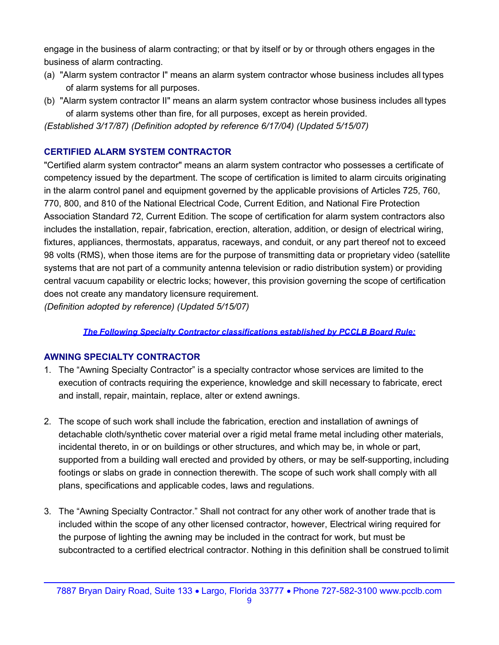engage in the business of alarm contracting; or that by itself or by or through others engages in the business of alarm contracting.

- (a) "Alarm system contractor I" means an alarm system contractor whose business includes all types of alarm systems for all purposes.
- (b) "Alarm system contractor II" means an alarm system contractor whose business includes all types of alarm systems other than fire, for all purposes, except as herein provided.

(Established 3/17/87) (Definition adopted by reference 6/17/04) (Updated 5/15/07)

### CERTIFIED ALARM SYSTEM CONTRACTOR

"Certified alarm system contractor" means an alarm system contractor who possesses a certificate of competency issued by the department. The scope of certification is limited to alarm circuits originating in the alarm control panel and equipment governed by the applicable provisions of Articles 725, 760, 770, 800, and 810 of the National Electrical Code, Current Edition, and National Fire Protection Association Standard 72, Current Edition. The scope of certification for alarm system contractors also includes the installation, repair, fabrication, erection, alteration, addition, or design of electrical wiring, fixtures, appliances, thermostats, apparatus, raceways, and conduit, or any part thereof not to exceed 98 volts (RMS), when those items are for the purpose of transmitting data or proprietary video (satellite systems that are not part of a community antenna television or radio distribution system) or providing central vacuum capability or electric locks; however, this provision governing the scope of certification does not create any mandatory licensure requirement.

(Definition adopted by reference) (Updated 5/15/07)

### The Following Specialty Contractor classifications established by PCCLB Board Rule:

### AWNING SPECIALTY CONTRACTOR

- 1. The "Awning Specialty Contractor" is a specialty contractor whose services are limited to the execution of contracts requiring the experience, knowledge and skill necessary to fabricate, erect and install, repair, maintain, replace, alter or extend awnings.
- 2. The scope of such work shall include the fabrication, erection and installation of awnings of detachable cloth/synthetic cover material over a rigid metal frame metal including other materials, incidental thereto, in or on buildings or other structures, and which may be, in whole or part, supported from a building wall erected and provided by others, or may be self-supporting, including footings or slabs on grade in connection therewith. The scope of such work shall comply with all plans, specifications and applicable codes, laws and regulations.
- 3. The "Awning Specialty Contractor." Shall not contract for any other work of another trade that is included within the scope of any other licensed contractor, however, Electrical wiring required for the purpose of lighting the awning may be included in the contract for work, but must be subcontracted to a certified electrical contractor. Nothing in this definition shall be construed to limit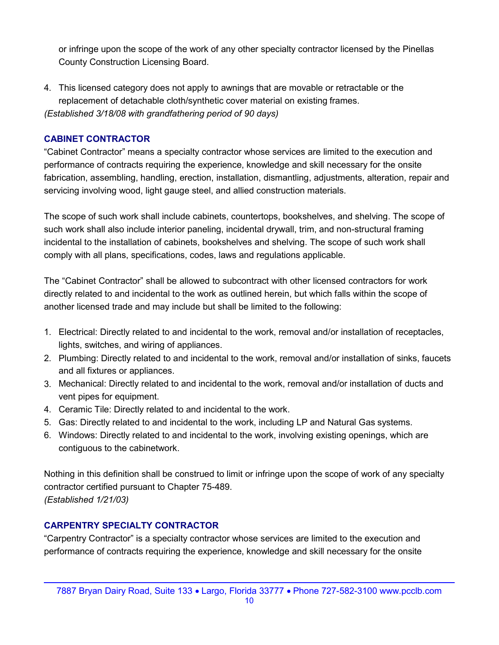or infringe upon the scope of the work of any other specialty contractor licensed by the Pinellas County Construction Licensing Board.

4. This licensed category does not apply to awnings that are movable or retractable or the replacement of detachable cloth/synthetic cover material on existing frames. (Established 3/18/08 with grandfathering period of 90 days)

### CABINET CONTRACTOR

"Cabinet Contractor" means a specialty contractor whose services are limited to the execution and performance of contracts requiring the experience, knowledge and skill necessary for the onsite fabrication, assembling, handling, erection, installation, dismantling, adjustments, alteration, repair and servicing involving wood, light gauge steel, and allied construction materials.

The scope of such work shall include cabinets, countertops, bookshelves, and shelving. The scope of such work shall also include interior paneling, incidental drywall, trim, and non-structural framing incidental to the installation of cabinets, bookshelves and shelving. The scope of such work shall comply with all plans, specifications, codes, laws and regulations applicable.

The "Cabinet Contractor" shall be allowed to subcontract with other licensed contractors for work directly related to and incidental to the work as outlined herein, but which falls within the scope of another licensed trade and may include but shall be limited to the following:

- 1. Electrical: Directly related to and incidental to the work, removal and/or installation of receptacles, lights, switches, and wiring of appliances.
- 2. Plumbing: Directly related to and incidental to the work, removal and/or installation of sinks, faucets and all fixtures or appliances.
- 3. Mechanical: Directly related to and incidental to the work, removal and/or installation of ducts and vent pipes for equipment.
- 4. Ceramic Tile: Directly related to and incidental to the work.
- 5. Gas: Directly related to and incidental to the work, including LP and Natural Gas systems.
- 6. Windows: Directly related to and incidental to the work, involving existing openings, which are contiguous to the cabinetwork.

Nothing in this definition shall be construed to limit or infringe upon the scope of work of any specialty contractor certified pursuant to Chapter 75-489. (Established 1/21/03)

### CARPENTRY SPECIALTY CONTRACTOR

"Carpentry Contractor" is a specialty contractor whose services are limited to the execution and performance of contracts requiring the experience, knowledge and skill necessary for the onsite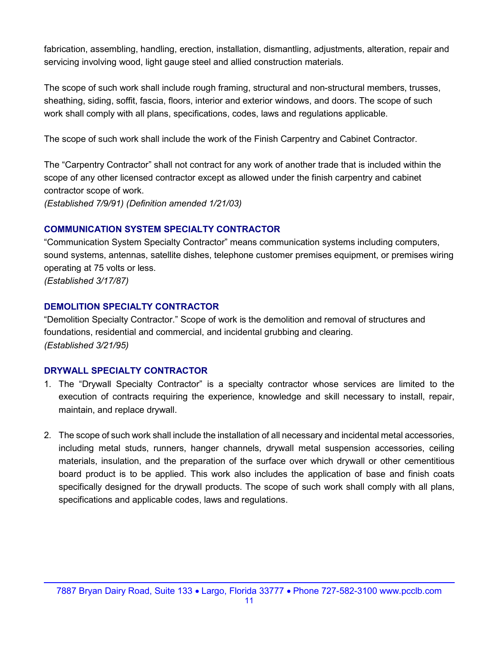fabrication, assembling, handling, erection, installation, dismantling, adjustments, alteration, repair and servicing involving wood, light gauge steel and allied construction materials.

The scope of such work shall include rough framing, structural and non-structural members, trusses, sheathing, siding, soffit, fascia, floors, interior and exterior windows, and doors. The scope of such work shall comply with all plans, specifications, codes, laws and regulations applicable.

The scope of such work shall include the work of the Finish Carpentry and Cabinet Contractor.

The "Carpentry Contractor" shall not contract for any work of another trade that is included within the scope of any other licensed contractor except as allowed under the finish carpentry and cabinet contractor scope of work.

(Established 7/9/91) (Definition amended 1/21/03)

### COMMUNICATION SYSTEM SPECIALTY CONTRACTOR

"Communication System Specialty Contractor" means communication systems including computers, sound systems, antennas, satellite dishes, telephone customer premises equipment, or premises wiring operating at 75 volts or less. (Established 3/17/87)

### DEMOLITION SPECIALTY CONTRACTOR

"Demolition Specialty Contractor." Scope of work is the demolition and removal of structures and foundations, residential and commercial, and incidental grubbing and clearing. (Established 3/21/95)

### DRYWALL SPECIALTY CONTRACTOR

- 1. The "Drywall Specialty Contractor" is a specialty contractor whose services are limited to the execution of contracts requiring the experience, knowledge and skill necessary to install, repair, maintain, and replace drywall.
- 2. The scope of such work shall include the installation of all necessary and incidental metal accessories, including metal studs, runners, hanger channels, drywall metal suspension accessories, ceiling materials, insulation, and the preparation of the surface over which drywall or other cementitious board product is to be applied. This work also includes the application of base and finish coats specifically designed for the drywall products. The scope of such work shall comply with all plans, specifications and applicable codes, laws and regulations.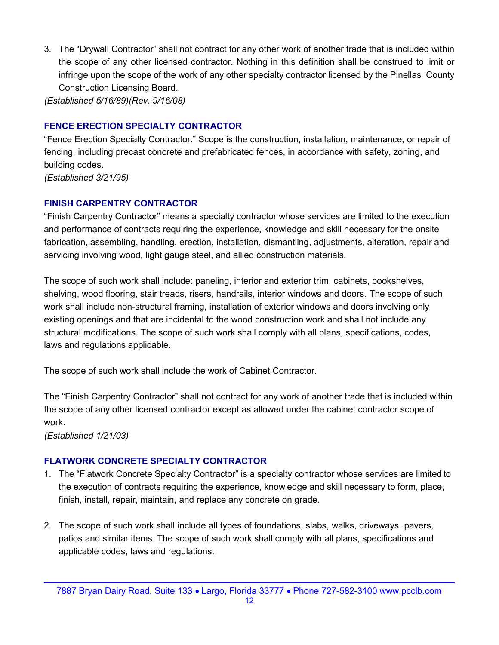3. The "Drywall Contractor" shall not contract for any other work of another trade that is included within the scope of any other licensed contractor. Nothing in this definition shall be construed to limit or infringe upon the scope of the work of any other specialty contractor licensed by the Pinellas County Construction Licensing Board.

(Established 5/16/89)(Rev. 9/16/08)

### FENCE ERECTION SPECIALTY CONTRACTOR

"Fence Erection Specialty Contractor." Scope is the construction, installation, maintenance, or repair of fencing, including precast concrete and prefabricated fences, in accordance with safety, zoning, and building codes.

(Established 3/21/95)

### FINISH CARPENTRY CONTRACTOR

"Finish Carpentry Contractor" means a specialty contractor whose services are limited to the execution and performance of contracts requiring the experience, knowledge and skill necessary for the onsite fabrication, assembling, handling, erection, installation, dismantling, adjustments, alteration, repair and servicing involving wood, light gauge steel, and allied construction materials.

The scope of such work shall include: paneling, interior and exterior trim, cabinets, bookshelves, shelving, wood flooring, stair treads, risers, handrails, interior windows and doors. The scope of such work shall include non-structural framing, installation of exterior windows and doors involving only existing openings and that are incidental to the wood construction work and shall not include any structural modifications. The scope of such work shall comply with all plans, specifications, codes, laws and regulations applicable.

The scope of such work shall include the work of Cabinet Contractor.

The "Finish Carpentry Contractor" shall not contract for any work of another trade that is included within the scope of any other licensed contractor except as allowed under the cabinet contractor scope of work.

(Established 1/21/03)

### FLATWORK CONCRETE SPECIALTY CONTRACTOR

- 1. The "Flatwork Concrete Specialty Contractor" is a specialty contractor whose services are limited to the execution of contracts requiring the experience, knowledge and skill necessary to form, place, finish, install, repair, maintain, and replace any concrete on grade.
- 2. The scope of such work shall include all types of foundations, slabs, walks, driveways, pavers, patios and similar items. The scope of such work shall comply with all plans, specifications and applicable codes, laws and regulations.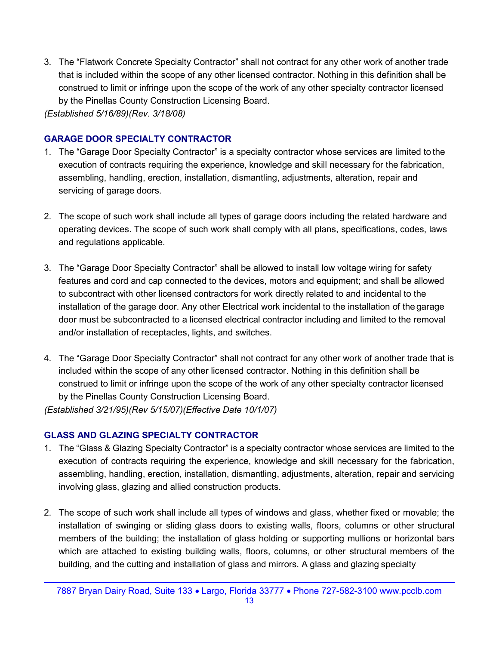3. The "Flatwork Concrete Specialty Contractor" shall not contract for any other work of another trade that is included within the scope of any other licensed contractor. Nothing in this definition shall be construed to limit or infringe upon the scope of the work of any other specialty contractor licensed by the Pinellas County Construction Licensing Board.

(Established 5/16/89)(Rev. 3/18/08)

### GARAGE DOOR SPECIALTY CONTRACTOR

- 1. The "Garage Door Specialty Contractor" is a specialty contractor whose services are limited to the execution of contracts requiring the experience, knowledge and skill necessary for the fabrication, assembling, handling, erection, installation, dismantling, adjustments, alteration, repair and servicing of garage doors.
- 2. The scope of such work shall include all types of garage doors including the related hardware and operating devices. The scope of such work shall comply with all plans, specifications, codes, laws and regulations applicable.
- 3. The "Garage Door Specialty Contractor" shall be allowed to install low voltage wiring for safety features and cord and cap connected to the devices, motors and equipment; and shall be allowed to subcontract with other licensed contractors for work directly related to and incidental to the installation of the garage door. Any other Electrical work incidental to the installation of the garage door must be subcontracted to a licensed electrical contractor including and limited to the removal and/or installation of receptacles, lights, and switches.
- 4. The "Garage Door Specialty Contractor" shall not contract for any other work of another trade that is included within the scope of any other licensed contractor. Nothing in this definition shall be construed to limit or infringe upon the scope of the work of any other specialty contractor licensed by the Pinellas County Construction Licensing Board.

(Established 3/21/95)(Rev 5/15/07)(Effective Date 10/1/07)

### GLASS AND GLAZING SPECIALTY CONTRACTOR

- 1. The "Glass & Glazing Specialty Contractor" is a specialty contractor whose services are limited to the execution of contracts requiring the experience, knowledge and skill necessary for the fabrication, assembling, handling, erection, installation, dismantling, adjustments, alteration, repair and servicing involving glass, glazing and allied construction products.
- 2. The scope of such work shall include all types of windows and glass, whether fixed or movable; the installation of swinging or sliding glass doors to existing walls, floors, columns or other structural members of the building; the installation of glass holding or supporting mullions or horizontal bars which are attached to existing building walls, floors, columns, or other structural members of the building, and the cutting and installation of glass and mirrors. A glass and glazing specialty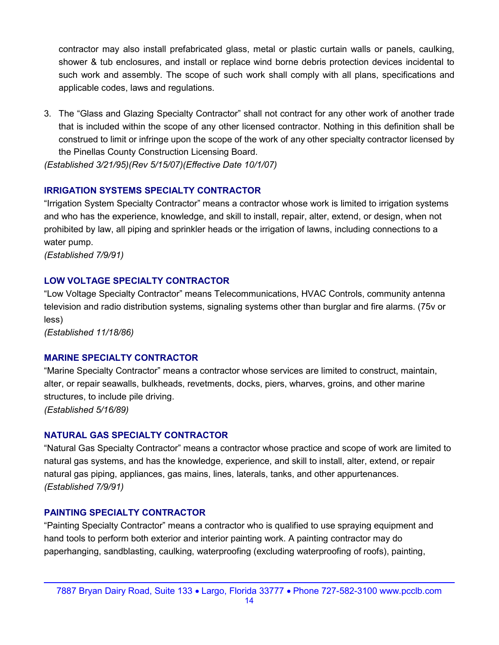contractor may also install prefabricated glass, metal or plastic curtain walls or panels, caulking, shower & tub enclosures, and install or replace wind borne debris protection devices incidental to such work and assembly. The scope of such work shall comply with all plans, specifications and applicable codes, laws and regulations.

3. The "Glass and Glazing Specialty Contractor" shall not contract for any other work of another trade that is included within the scope of any other licensed contractor. Nothing in this definition shall be construed to limit or infringe upon the scope of the work of any other specialty contractor licensed by the Pinellas County Construction Licensing Board.

(Established 3/21/95)(Rev 5/15/07)(Effective Date 10/1/07)

### IRRIGATION SYSTEMS SPECIALTY CONTRACTOR

"Irrigation System Specialty Contractor" means a contractor whose work is limited to irrigation systems and who has the experience, knowledge, and skill to install, repair, alter, extend, or design, when not prohibited by law, all piping and sprinkler heads or the irrigation of lawns, including connections to a water pump.

(Established 7/9/91)

### LOW VOLTAGE SPECIALTY CONTRACTOR

"Low Voltage Specialty Contractor" means Telecommunications, HVAC Controls, community antenna television and radio distribution systems, signaling systems other than burglar and fire alarms. (75v or less)

(Established 11/18/86)

### MARINE SPECIALTY CONTRACTOR

"Marine Specialty Contractor" means a contractor whose services are limited to construct, maintain, alter, or repair seawalls, bulkheads, revetments, docks, piers, wharves, groins, and other marine structures, to include pile driving. (Established 5/16/89)

### NATURAL GAS SPECIALTY CONTRACTOR

"Natural Gas Specialty Contractor" means a contractor whose practice and scope of work are limited to natural gas systems, and has the knowledge, experience, and skill to install, alter, extend, or repair natural gas piping, appliances, gas mains, lines, laterals, tanks, and other appurtenances. (Established 7/9/91)

### PAINTING SPECIALTY CONTRACTOR

"Painting Specialty Contractor" means a contractor who is qualified to use spraying equipment and hand tools to perform both exterior and interior painting work. A painting contractor may do paperhanging, sandblasting, caulking, waterproofing (excluding waterproofing of roofs), painting,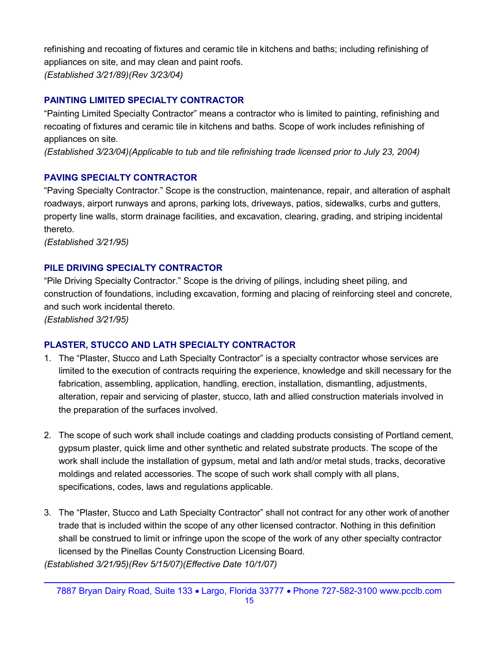refinishing and recoating of fixtures and ceramic tile in kitchens and baths; including refinishing of appliances on site, and may clean and paint roofs. (Established 3/21/89)(Rev 3/23/04)

### PAINTING LIMITED SPECIALTY CONTRACTOR

"Painting Limited Specialty Contractor" means a contractor who is limited to painting, refinishing and recoating of fixtures and ceramic tile in kitchens and baths. Scope of work includes refinishing of appliances on site.

(Established 3/23/04)(Applicable to tub and tile refinishing trade licensed prior to July 23, 2004)

### PAVING SPECIALTY CONTRACTOR

"Paving Specialty Contractor." Scope is the construction, maintenance, repair, and alteration of asphalt roadways, airport runways and aprons, parking lots, driveways, patios, sidewalks, curbs and gutters, property line walls, storm drainage facilities, and excavation, clearing, grading, and striping incidental thereto.

(Established 3/21/95)

### PILE DRIVING SPECIALTY CONTRACTOR

"Pile Driving Specialty Contractor." Scope is the driving of pilings, including sheet piling, and construction of foundations, including excavation, forming and placing of reinforcing steel and concrete, and such work incidental thereto.

(Established 3/21/95)

### PLASTER, STUCCO AND LATH SPECIALTY CONTRACTOR

- 1. The "Plaster, Stucco and Lath Specialty Contractor" is a specialty contractor whose services are limited to the execution of contracts requiring the experience, knowledge and skill necessary for the fabrication, assembling, application, handling, erection, installation, dismantling, adjustments, alteration, repair and servicing of plaster, stucco, lath and allied construction materials involved in the preparation of the surfaces involved.
- 2. The scope of such work shall include coatings and cladding products consisting of Portland cement, gypsum plaster, quick lime and other synthetic and related substrate products. The scope of the work shall include the installation of gypsum, metal and lath and/or metal studs, tracks, decorative moldings and related accessories. The scope of such work shall comply with all plans, specifications, codes, laws and regulations applicable.
- 3. The "Plaster, Stucco and Lath Specialty Contractor" shall not contract for any other work of another trade that is included within the scope of any other licensed contractor. Nothing in this definition shall be construed to limit or infringe upon the scope of the work of any other specialty contractor licensed by the Pinellas County Construction Licensing Board.

(Established 3/21/95)(Rev 5/15/07)(Effective Date 10/1/07)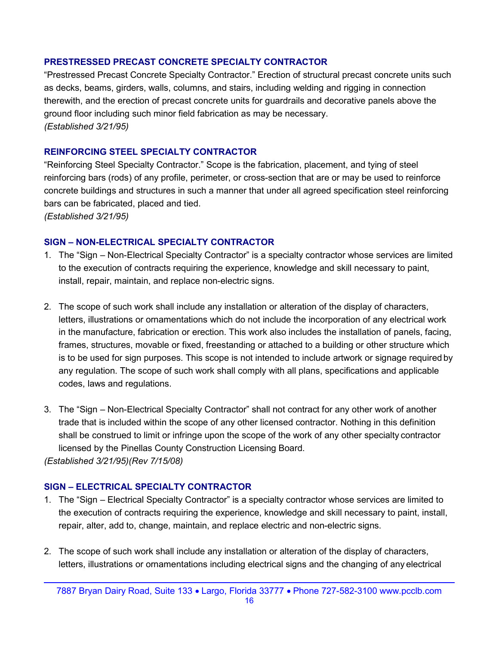### PRESTRESSED PRECAST CONCRETE SPECIALTY CONTRACTOR

"Prestressed Precast Concrete Specialty Contractor." Erection of structural precast concrete units such as decks, beams, girders, walls, columns, and stairs, including welding and rigging in connection therewith, and the erection of precast concrete units for guardrails and decorative panels above the ground floor including such minor field fabrication as may be necessary. (Established 3/21/95)

### REINFORCING STEEL SPECIALTY CONTRACTOR

"Reinforcing Steel Specialty Contractor." Scope is the fabrication, placement, and tying of steel reinforcing bars (rods) of any profile, perimeter, or cross-section that are or may be used to reinforce concrete buildings and structures in such a manner that under all agreed specification steel reinforcing bars can be fabricated, placed and tied.

(Established 3/21/95)

### SIGN – NON-ELECTRICAL SPECIALTY CONTRACTOR

- 1. The "Sign Non-Electrical Specialty Contractor" is a specialty contractor whose services are limited to the execution of contracts requiring the experience, knowledge and skill necessary to paint, install, repair, maintain, and replace non-electric signs.
- 2. The scope of such work shall include any installation or alteration of the display of characters, letters, illustrations or ornamentations which do not include the incorporation of any electrical work in the manufacture, fabrication or erection. This work also includes the installation of panels, facing, frames, structures, movable or fixed, freestanding or attached to a building or other structure which is to be used for sign purposes. This scope is not intended to include artwork or signage required by any regulation. The scope of such work shall comply with all plans, specifications and applicable codes, laws and regulations.
- 3. The "Sign Non-Electrical Specialty Contractor" shall not contract for any other work of another trade that is included within the scope of any other licensed contractor. Nothing in this definition shall be construed to limit or infringe upon the scope of the work of any other specialty contractor licensed by the Pinellas County Construction Licensing Board. (Established 3/21/95)(Rev 7/15/08)

#### SIGN – ELECTRICAL SPECIALTY CONTRACTOR

- 1. The "Sign Electrical Specialty Contractor" is a specialty contractor whose services are limited to the execution of contracts requiring the experience, knowledge and skill necessary to paint, install, repair, alter, add to, change, maintain, and replace electric and non-electric signs.
- 2. The scope of such work shall include any installation or alteration of the display of characters, letters, illustrations or ornamentations including electrical signs and the changing of any electrical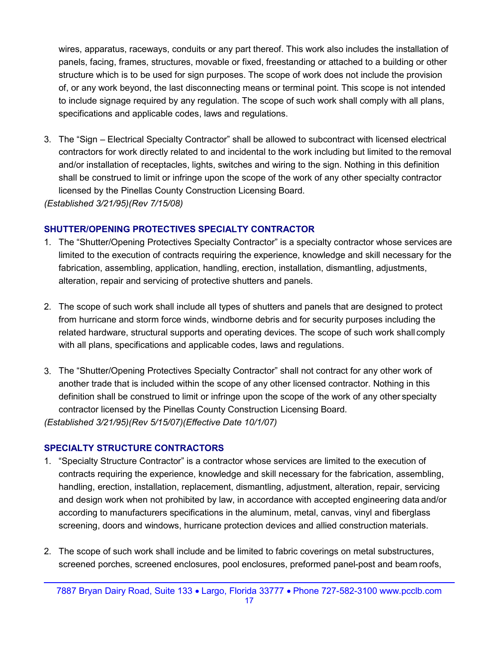wires, apparatus, raceways, conduits or any part thereof. This work also includes the installation of panels, facing, frames, structures, movable or fixed, freestanding or attached to a building or other structure which is to be used for sign purposes. The scope of work does not include the provision of, or any work beyond, the last disconnecting means or terminal point. This scope is not intended to include signage required by any regulation. The scope of such work shall comply with all plans, specifications and applicable codes, laws and regulations.

3. The "Sign – Electrical Specialty Contractor" shall be allowed to subcontract with licensed electrical contractors for work directly related to and incidental to the work including but limited to the removal and/or installation of receptacles, lights, switches and wiring to the sign. Nothing in this definition shall be construed to limit or infringe upon the scope of the work of any other specialty contractor licensed by the Pinellas County Construction Licensing Board.

(Established 3/21/95)(Rev 7/15/08)

### SHUTTER/OPENING PROTECTIVES SPECIALTY CONTRACTOR

- 1. The "Shutter/Opening Protectives Specialty Contractor" is a specialty contractor whose services are limited to the execution of contracts requiring the experience, knowledge and skill necessary for the fabrication, assembling, application, handling, erection, installation, dismantling, adjustments, alteration, repair and servicing of protective shutters and panels.
- 2. The scope of such work shall include all types of shutters and panels that are designed to protect from hurricane and storm force winds, windborne debris and for security purposes including the related hardware, structural supports and operating devices. The scope of such work shall comply with all plans, specifications and applicable codes, laws and regulations.
- 3. The "Shutter/Opening Protectives Specialty Contractor" shall not contract for any other work of another trade that is included within the scope of any other licensed contractor. Nothing in this definition shall be construed to limit or infringe upon the scope of the work of any other specialty contractor licensed by the Pinellas County Construction Licensing Board. (Established 3/21/95)(Rev 5/15/07)(Effective Date 10/1/07)

### SPECIALTY STRUCTURE CONTRACTORS

- 1. "Specialty Structure Contractor" is a contractor whose services are limited to the execution of contracts requiring the experience, knowledge and skill necessary for the fabrication, assembling, handling, erection, installation, replacement, dismantling, adjustment, alteration, repair, servicing and design work when not prohibited by law, in accordance with accepted engineering data and/or according to manufacturers specifications in the aluminum, metal, canvas, vinyl and fiberglass screening, doors and windows, hurricane protection devices and allied construction materials.
- 2. The scope of such work shall include and be limited to fabric coverings on metal substructures, screened porches, screened enclosures, pool enclosures, preformed panel-post and beam roofs,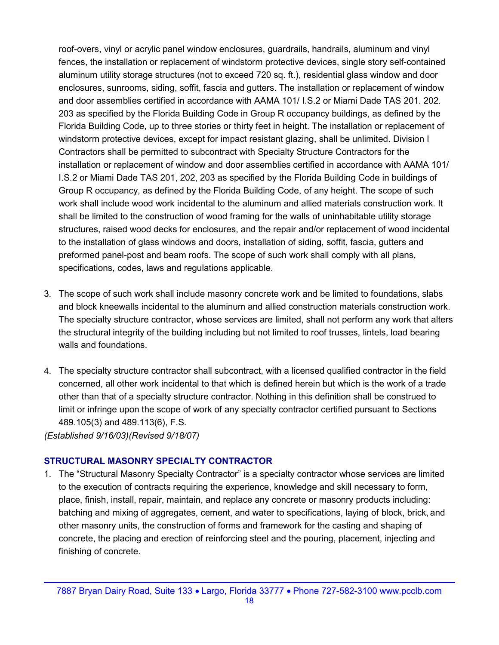roof-overs, vinyl or acrylic panel window enclosures, guardrails, handrails, aluminum and vinyl fences, the installation or replacement of windstorm protective devices, single story self-contained aluminum utility storage structures (not to exceed 720 sq. ft.), residential glass window and door enclosures, sunrooms, siding, soffit, fascia and gutters. The installation or replacement of window and door assemblies certified in accordance with AAMA 101/ I.S.2 or Miami Dade TAS 201. 202. 203 as specified by the Florida Building Code in Group R occupancy buildings, as defined by the Florida Building Code, up to three stories or thirty feet in height. The installation or replacement of windstorm protective devices, except for impact resistant glazing, shall be unlimited. Division I Contractors shall be permitted to subcontract with Specialty Structure Contractors for the installation or replacement of window and door assemblies certified in accordance with AAMA 101/ I.S.2 or Miami Dade TAS 201, 202, 203 as specified by the Florida Building Code in buildings of Group R occupancy, as defined by the Florida Building Code, of any height. The scope of such work shall include wood work incidental to the aluminum and allied materials construction work. It shall be limited to the construction of wood framing for the walls of uninhabitable utility storage structures, raised wood decks for enclosures, and the repair and/or replacement of wood incidental to the installation of glass windows and doors, installation of siding, soffit, fascia, gutters and preformed panel-post and beam roofs. The scope of such work shall comply with all plans, specifications, codes, laws and regulations applicable.

- 3. The scope of such work shall include masonry concrete work and be limited to foundations, slabs and block kneewalls incidental to the aluminum and allied construction materials construction work. The specialty structure contractor, whose services are limited, shall not perform any work that alters the structural integrity of the building including but not limited to roof trusses, lintels, load bearing walls and foundations.
- 4. The specialty structure contractor shall subcontract, with a licensed qualified contractor in the field concerned, all other work incidental to that which is defined herein but which is the work of a trade other than that of a specialty structure contractor. Nothing in this definition shall be construed to limit or infringe upon the scope of work of any specialty contractor certified pursuant to Sections 489.105(3) and 489.113(6), F.S.

(Established 9/16/03)(Revised 9/18/07)

### STRUCTURAL MASONRY SPECIALTY CONTRACTOR

1. The "Structural Masonry Specialty Contractor" is a specialty contractor whose services are limited to the execution of contracts requiring the experience, knowledge and skill necessary to form, place, finish, install, repair, maintain, and replace any concrete or masonry products including: batching and mixing of aggregates, cement, and water to specifications, laying of block, brick, and other masonry units, the construction of forms and framework for the casting and shaping of concrete, the placing and erection of reinforcing steel and the pouring, placement, injecting and finishing of concrete.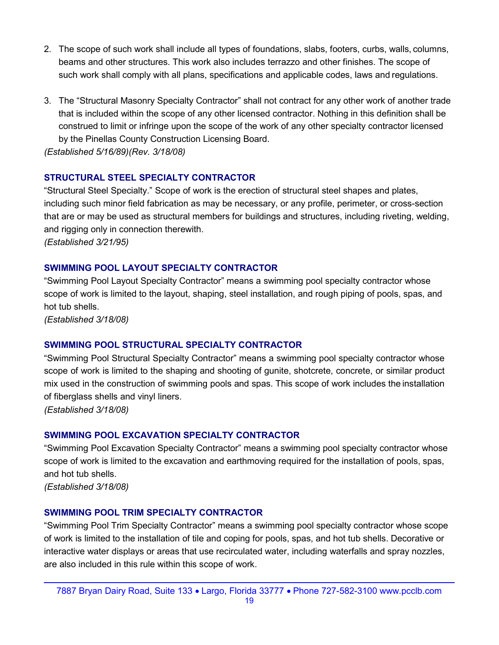- 2. The scope of such work shall include all types of foundations, slabs, footers, curbs, walls, columns, beams and other structures. This work also includes terrazzo and other finishes. The scope of such work shall comply with all plans, specifications and applicable codes, laws and regulations.
- 3. The "Structural Masonry Specialty Contractor" shall not contract for any other work of another trade that is included within the scope of any other licensed contractor. Nothing in this definition shall be construed to limit or infringe upon the scope of the work of any other specialty contractor licensed by the Pinellas County Construction Licensing Board.

(Established 5/16/89)(Rev. 3/18/08)

### STRUCTURAL STEEL SPECIALTY CONTRACTOR

"Structural Steel Specialty." Scope of work is the erection of structural steel shapes and plates, including such minor field fabrication as may be necessary, or any profile, perimeter, or cross-section that are or may be used as structural members for buildings and structures, including riveting, welding, and rigging only in connection therewith. (Established 3/21/95)

### SWIMMING POOL LAYOUT SPECIALTY CONTRACTOR

"Swimming Pool Layout Specialty Contractor" means a swimming pool specialty contractor whose scope of work is limited to the layout, shaping, steel installation, and rough piping of pools, spas, and hot tub shells.

(Established 3/18/08)

### SWIMMING POOL STRUCTURAL SPECIALTY CONTRACTOR

"Swimming Pool Structural Specialty Contractor" means a swimming pool specialty contractor whose scope of work is limited to the shaping and shooting of gunite, shotcrete, concrete, or similar product mix used in the construction of swimming pools and spas. This scope of work includes the installation of fiberglass shells and vinyl liners.

(Established 3/18/08)

#### SWIMMING POOL EXCAVATION SPECIALTY CONTRACTOR

"Swimming Pool Excavation Specialty Contractor" means a swimming pool specialty contractor whose scope of work is limited to the excavation and earthmoving required for the installation of pools, spas, and hot tub shells.

(Established 3/18/08)

#### SWIMMING POOL TRIM SPECIALTY CONTRACTOR

"Swimming Pool Trim Specialty Contractor" means a swimming pool specialty contractor whose scope of work is limited to the installation of tile and coping for pools, spas, and hot tub shells. Decorative or interactive water displays or areas that use recirculated water, including waterfalls and spray nozzles, are also included in this rule within this scope of work.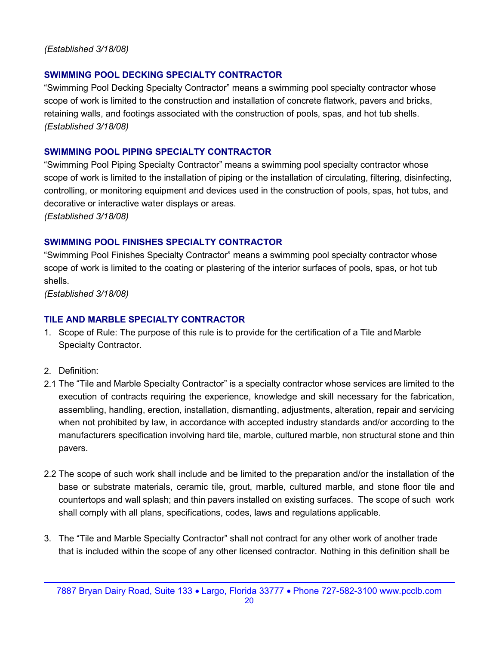### (Established 3/18/08)

### SWIMMING POOL DECKING SPECIALTY CONTRACTOR

"Swimming Pool Decking Specialty Contractor" means a swimming pool specialty contractor whose scope of work is limited to the construction and installation of concrete flatwork, pavers and bricks, retaining walls, and footings associated with the construction of pools, spas, and hot tub shells. (Established 3/18/08)

### SWIMMING POOL PIPING SPECIALTY CONTRACTOR

"Swimming Pool Piping Specialty Contractor" means a swimming pool specialty contractor whose scope of work is limited to the installation of piping or the installation of circulating, filtering, disinfecting, controlling, or monitoring equipment and devices used in the construction of pools, spas, hot tubs, and decorative or interactive water displays or areas.

(Established 3/18/08)

### SWIMMING POOL FINISHES SPECIALTY CONTRACTOR

"Swimming Pool Finishes Specialty Contractor" means a swimming pool specialty contractor whose scope of work is limited to the coating or plastering of the interior surfaces of pools, spas, or hot tub shells.

(Established 3/18/08)

### TILE AND MARBLE SPECIALTY CONTRACTOR

- 1. Scope of Rule: The purpose of this rule is to provide for the certification of a Tile and Marble Specialty Contractor.
- 2. Definition:
- 2.1 The "Tile and Marble Specialty Contractor" is a specialty contractor whose services are limited to the execution of contracts requiring the experience, knowledge and skill necessary for the fabrication, assembling, handling, erection, installation, dismantling, adjustments, alteration, repair and servicing when not prohibited by law, in accordance with accepted industry standards and/or according to the manufacturers specification involving hard tile, marble, cultured marble, non structural stone and thin pavers.
- 2.2 The scope of such work shall include and be limited to the preparation and/or the installation of the base or substrate materials, ceramic tile, grout, marble, cultured marble, and stone floor tile and countertops and wall splash; and thin pavers installed on existing surfaces. The scope of such work shall comply with all plans, specifications, codes, laws and regulations applicable.
- 3. The "Tile and Marble Specialty Contractor" shall not contract for any other work of another trade that is included within the scope of any other licensed contractor. Nothing in this definition shall be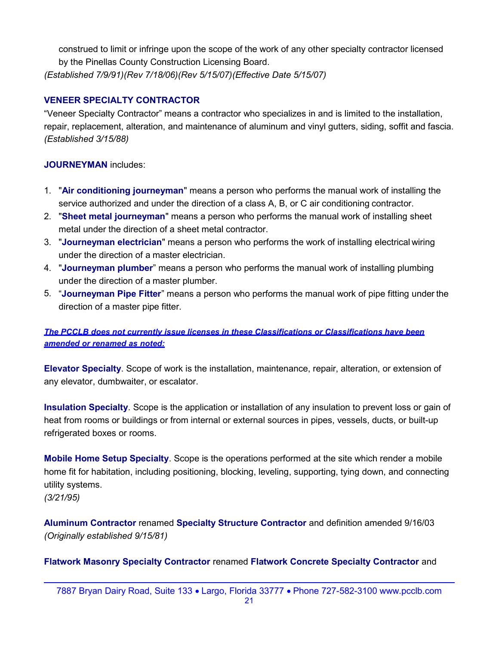construed to limit or infringe upon the scope of the work of any other specialty contractor licensed by the Pinellas County Construction Licensing Board. (Established 7/9/91)(Rev 7/18/06)(Rev 5/15/07)(Effective Date 5/15/07)

### VENEER SPECIALTY CONTRACTOR

"Veneer Specialty Contractor" means a contractor who specializes in and is limited to the installation, repair, replacement, alteration, and maintenance of aluminum and vinyl gutters, siding, soffit and fascia. (Established 3/15/88)

### JOURNEYMAN includes:

- 1. "Air conditioning journeyman" means a person who performs the manual work of installing the service authorized and under the direction of a class A, B, or C air conditioning contractor.
- 2. "Sheet metal journeyman" means a person who performs the manual work of installing sheet metal under the direction of a sheet metal contractor.
- 3. "Journeyman electrician" means a person who performs the work of installing electrical wiring under the direction of a master electrician.
- 4. "Journeyman plumber" means a person who performs the manual work of installing plumbing under the direction of a master plumber.
- 5. "Journeyman Pipe Fitter" means a person who performs the manual work of pipe fitting under the direction of a master pipe fitter.

### The PCCLB does not currently issue licenses in these Classifications or Classifications have been amended or renamed as noted:

Elevator Specialty. Scope of work is the installation, maintenance, repair, alteration, or extension of any elevator, dumbwaiter, or escalator.

Insulation Specialty. Scope is the application or installation of any insulation to prevent loss or gain of heat from rooms or buildings or from internal or external sources in pipes, vessels, ducts, or built-up refrigerated boxes or rooms.

Mobile Home Setup Specialty. Scope is the operations performed at the site which render a mobile home fit for habitation, including positioning, blocking, leveling, supporting, tying down, and connecting utility systems.

(3/21/95)

Aluminum Contractor renamed Specialty Structure Contractor and definition amended 9/16/03 (Originally established 9/15/81)

Flatwork Masonry Specialty Contractor renamed Flatwork Concrete Specialty Contractor and